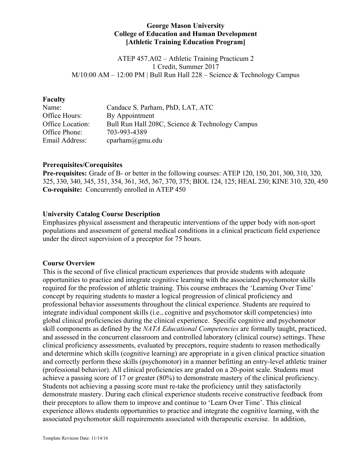#### **George Mason University College of Education and Human Development [Athletic Training Education Program]**

ATEP 457.A02 – Athletic Training Practicum 2 1 Credit, Summer 2017 M/10:00 AM – 12:00 PM | Bull Run Hall 228 – Science & Technology Campus

#### **Faculty**

| Name:            | Candace S. Parham, PhD, LAT, ATC                |
|------------------|-------------------------------------------------|
| Office Hours:    | By Appointment                                  |
| Office Location: | Bull Run Hall 208C, Science & Technology Campus |
| Office Phone:    | 703-993-4389                                    |
| Email Address:   | $c$ parham $@g$ mu.edu                          |

#### **Prerequisites/Corequisites**

**Pre-requisites:** Grade of B- or better in the following courses: ATEP 120, 150, 201, 300, 310, 320, 325, 330, 340, 345, 351, 354, 361, 365, 367, 370, 375; BIOL 124, 125; HEAL 230; KINE 310, 320, 450 **Co-requisite:** Concurrently enrolled in ATEP 450

#### **University Catalog Course Description**

Emphasizes physical assessment and therapeutic interventions of the upper body with non-sport populations and assessment of general medical conditions in a clinical practicum field experience under the direct supervision of a preceptor for 75 hours.

#### **Course Overview**

This is the second of five clinical practicum experiences that provide students with adequate opportunities to practice and integrate cognitive learning with the associated psychomotor skills required for the profession of athletic training. This course embraces the 'Learning Over Time' concept by requiring students to master a logical progression of clinical proficiency and professional behavior assessments throughout the clinical experience. Students are required to integrate individual component skills (i.e., cognitive and psychomotor skill competencies) into global clinical proficiencies during the clinical experience. Specific cognitive and psychomotor skill components as defined by the *NATA Educational Competencies* are formally taught, practiced, and assessed in the concurrent classroom and controlled laboratory (clinical course) settings. These clinical proficiency assessments, evaluated by preceptors, require students to reason methodically and determine which skills (cognitive learning) are appropriate in a given clinical practice situation and correctly perform these skills (psychomotor) in a manner befitting an entry-level athletic trainer (professional behavior). All clinical proficiencies are graded on a 20-point scale. Students must achieve a passing score of 17 or greater (80%) to demonstrate mastery of the clinical proficiency. Students not achieving a passing score must re-take the proficiency until they satisfactorily demonstrate mastery. During each clinical experience students receive constructive feedback from their preceptors to allow them to improve and continue to 'Learn Over Time'. This clinical experience allows students opportunities to practice and integrate the cognitive learning, with the associated psychomotor skill requirements associated with therapeutic exercise. In addition,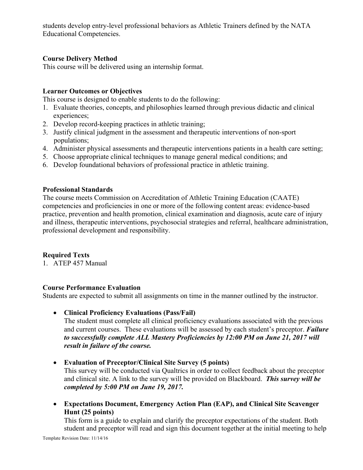students develop entry-level professional behaviors as Athletic Trainers defined by the NATA Educational Competencies.

# **Course Delivery Method**

This course will be delivered using an internship format.

## **Learner Outcomes or Objectives**

This course is designed to enable students to do the following:

- 1. Evaluate theories, concepts, and philosophies learned through previous didactic and clinical experiences;
- 2. Develop record-keeping practices in athletic training;
- 3. Justify clinical judgment in the assessment and therapeutic interventions of non-sport populations;
- 4. Administer physical assessments and therapeutic interventions patients in a health care setting;
- 5. Choose appropriate clinical techniques to manage general medical conditions; and
- 6. Develop foundational behaviors of professional practice in athletic training.

## **Professional Standards**

The course meets Commission on Accreditation of Athletic Training Education (CAATE) competencies and proficiencies in one or more of the following content areas: evidence-based practice, prevention and health promotion, clinical examination and diagnosis, acute care of injury and illness, therapeutic interventions, psychosocial strategies and referral, healthcare administration, professional development and responsibility.

## **Required Texts**

1. ATEP 457 Manual

## **Course Performance Evaluation**

Students are expected to submit all assignments on time in the manner outlined by the instructor.

• **Clinical Proficiency Evaluations (Pass/Fail)**

The student must complete all clinical proficiency evaluations associated with the previous and current courses. These evaluations will be assessed by each student's preceptor. *Failure to successfully complete ALL Mastery Proficiencies by 12:00 PM on June 21, 2017 will result in failure of the course.*

• **Evaluation of Preceptor/Clinical Site Survey (5 points)**

This survey will be conducted via Qualtrics in order to collect feedback about the preceptor and clinical site. A link to the survey will be provided on Blackboard. *This survey will be completed by 5:00 PM on June 19, 2017.*

• **Expectations Document, Emergency Action Plan (EAP), and Clinical Site Scavenger Hunt (25 points)**

This form is a guide to explain and clarify the preceptor expectations of the student. Both student and preceptor will read and sign this document together at the initial meeting to help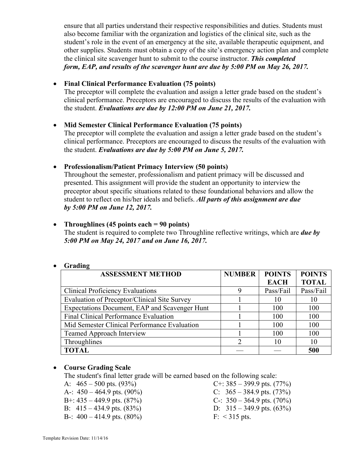ensure that all parties understand their respective responsibilities and duties. Students must also become familiar with the organization and logistics of the clinical site, such as the student's role in the event of an emergency at the site, available therapeutic equipment, and other supplies. Students must obtain a copy of the site's emergency action plan and complete the clinical site scavenger hunt to submit to the course instructor. *This completed form, EAP, and results of the scavenger hunt are due by 5:00 PM on May 26, 2017.*

# • **Final Clinical Performance Evaluation (75 points)**

The preceptor will complete the evaluation and assign a letter grade based on the student's clinical performance. Preceptors are encouraged to discuss the results of the evaluation with the student. *Evaluations are due by 12:00 PM on June 21, 2017.*

## • **Mid Semester Clinical Performance Evaluation (75 points)**

The preceptor will complete the evaluation and assign a letter grade based on the student's clinical performance. Preceptors are encouraged to discuss the results of the evaluation with the student. *Evaluations are due by 5:00 PM on June 5, 2017.*

## • **Professionalism/Patient Primacy Interview (50 points)**

Throughout the semester, professionalism and patient primacy will be discussed and presented. This assignment will provide the student an opportunity to interview the preceptor about specific situations related to these foundational behaviors and allow the student to reflect on his/her ideals and beliefs. *All parts of this assignment are due by 5:00 PM on June 12, 2017.*

# • **Throughlines (45 points each = 90 points)**

The student is required to complete two Throughline reflective writings, which are *due by 5:00 PM on May 24, 2017 and on June 16, 2017.*

|  | Grading |
|--|---------|
|--|---------|

| -------                                       |               |               |               |  |
|-----------------------------------------------|---------------|---------------|---------------|--|
| <b>ASSESSMENT METHOD</b>                      | <b>NUMBER</b> | <b>POINTS</b> | <b>POINTS</b> |  |
|                                               |               | <b>EACH</b>   | <b>TOTAL</b>  |  |
| <b>Clinical Proficiency Evaluations</b>       |               | Pass/Fail     | Pass/Fail     |  |
| Evaluation of Preceptor/Clinical Site Survey  |               | 10            | 10            |  |
| Expectations Document, EAP and Scavenger Hunt |               | 100           | 100           |  |
| Final Clinical Performance Evaluation         |               | 100           | 100           |  |
| Mid Semester Clinical Performance Evaluation  |               | 100           | 100           |  |
| <b>Teamed Approach Interview</b>              |               | 100           | 100           |  |
| Throughlines                                  |               | 10            | 10            |  |
| <b>TOTAL</b>                                  |               |               | 500           |  |

## • **Course Grading Scale**

The student's final letter grade will be earned based on the following scale:

- 
- 
- 
- B-:  $400 414.9$  pts.  $(80\%)$  F: <315 pts.
- A:  $465 500$  pts. (93%) C+:  $385 399.9$  pts. (77%) A-:  $450 - 464.9$  pts. (90%) C:  $365 - 384.9$  pts. (73%) B+:  $435 - 449.9$  pts.  $(87%)$  C-:  $350 - 364.9$  pts.  $(70%)$ B:  $415 - 434.9$  pts.  $(83\%)$  D:  $315 - 349.9$  pts.  $(63\%)$
- Template Revision Date: 11/14/16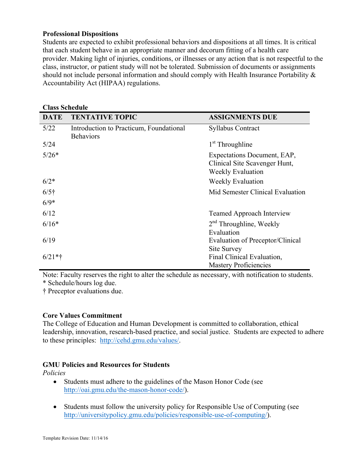### **Professional Dispositions**

Students are expected to exhibit professional behaviors and dispositions at all times. It is critical that each student behave in an appropriate manner and decorum fitting of a health care provider. Making light of injuries, conditions, or illnesses or any action that is not respectful to the class, instructor, or patient study will not be tolerated. Submission of documents or assignments should not include personal information and should comply with Health Insurance Portability & Accountability Act (HIPAA) regulations.

| <b>Class Schedule</b> |                                                             |                                                                                          |  |  |  |
|-----------------------|-------------------------------------------------------------|------------------------------------------------------------------------------------------|--|--|--|
| <b>DATE</b>           | <b>TENTATIVE TOPIC</b>                                      | <b>ASSIGNMENTS DUE</b>                                                                   |  |  |  |
| 5/22                  | Introduction to Practicum, Foundational<br><b>Behaviors</b> | <b>Syllabus Contract</b>                                                                 |  |  |  |
| 5/24                  |                                                             | $1st$ Throughline                                                                        |  |  |  |
| $5/26*$               |                                                             | Expectations Document, EAP,<br>Clinical Site Scavenger Hunt,<br><b>Weekly Evaluation</b> |  |  |  |
| $6/2*$                |                                                             | <b>Weekly Evaluation</b>                                                                 |  |  |  |
| $6/5$ †               |                                                             | Mid Semester Clinical Evaluation                                                         |  |  |  |
| $6/9*$                |                                                             |                                                                                          |  |  |  |
| 6/12                  |                                                             | <b>Teamed Approach Interview</b>                                                         |  |  |  |
| $6/16*$               |                                                             | $2nd$ Throughline, Weekly<br>Evaluation                                                  |  |  |  |
| 6/19                  |                                                             | Evaluation of Preceptor/Clinical<br><b>Site Survey</b>                                   |  |  |  |
| $6/21**$              |                                                             | Final Clinical Evaluation,<br><b>Mastery Proficiencies</b>                               |  |  |  |

Note: Faculty reserves the right to alter the schedule as necessary, with notification to students. \* Schedule/hours log due.

† Preceptor evaluations due.

## **Core Values Commitment**

The College of Education and Human Development is committed to collaboration, ethical leadership, innovation, research-based practice, and social justice. Students are expected to adhere to these principles: http://cehd.gmu.edu/values/.

## **GMU Policies and Resources for Students**

*Policies*

- Students must adhere to the guidelines of the Mason Honor Code (see http://oai.gmu.edu/the-mason-honor-code/).
- Students must follow the university policy for Responsible Use of Computing (see http://universitypolicy.gmu.edu/policies/responsible-use-of-computing/).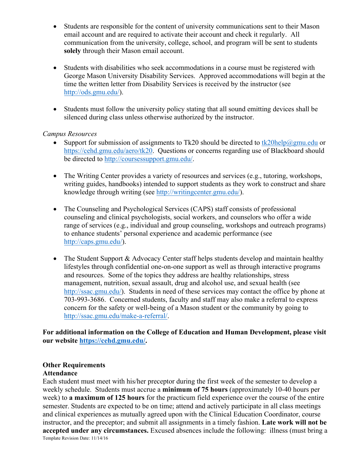- Students are responsible for the content of university communications sent to their Mason email account and are required to activate their account and check it regularly. All communication from the university, college, school, and program will be sent to students **solely** through their Mason email account.
- Students with disabilities who seek accommodations in a course must be registered with George Mason University Disability Services. Approved accommodations will begin at the time the written letter from Disability Services is received by the instructor (see http://ods.gmu.edu/).
- Students must follow the university policy stating that all sound emitting devices shall be silenced during class unless otherwise authorized by the instructor.

### *Campus Resources*

- Support for submission of assignments to Tk20 should be directed to tk20help@gmu.edu or https://cehd.gmu.edu/aero/tk20. Questions or concerns regarding use of Blackboard should be directed to http://coursessupport.gmu.edu/.
- The Writing Center provides a variety of resources and services (e.g., tutoring, workshops, writing guides, handbooks) intended to support students as they work to construct and share knowledge through writing (see http://writingcenter.gmu.edu/).
- The Counseling and Psychological Services (CAPS) staff consists of professional counseling and clinical psychologists, social workers, and counselors who offer a wide range of services (e.g., individual and group counseling, workshops and outreach programs) to enhance students' personal experience and academic performance (see http://caps.gmu.edu/).
- The Student Support & Advocacy Center staff helps students develop and maintain healthy lifestyles through confidential one-on-one support as well as through interactive programs and resources. Some of the topics they address are healthy relationships, stress management, nutrition, sexual assault, drug and alcohol use, and sexual health (see http://ssac.gmu.edu/). Students in need of these services may contact the office by phone at 703-993-3686. Concerned students, faculty and staff may also make a referral to express concern for the safety or well-being of a Mason student or the community by going to http://ssac.gmu.edu/make-a-referral/.

**For additional information on the College of Education and Human Development, please visit our website https://cehd.gmu.edu/.**

## **Other Requirements**

#### **Attendance**

Template Revision Date: 11/14/16 Each student must meet with his/her preceptor during the first week of the semester to develop a weekly schedule. Students must accrue a **minimum of 75 hours** (approximately 10-40 hours per week) to **a maximum of 125 hours** for the practicum field experience over the course of the entire semester. Students are expected to be on time; attend and actively participate in all class meetings and clinical experiences as mutually agreed upon with the Clinical Education Coordinator, course instructor, and the preceptor; and submit all assignments in a timely fashion. **Late work will not be accepted under any circumstances.** Excused absences include the following: illness (must bring a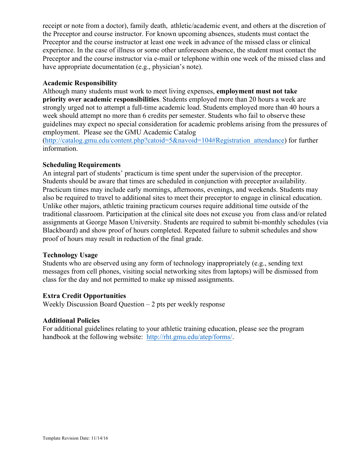receipt or note from a doctor), family death, athletic/academic event, and others at the discretion of the Preceptor and course instructor. For known upcoming absences, students must contact the Preceptor and the course instructor at least one week in advance of the missed class or clinical experience. In the case of illness or some other unforeseen absence, the student must contact the Preceptor and the course instructor via e-mail or telephone within one week of the missed class and have appropriate documentation (e.g., physician's note).

### **Academic Responsibility**

Although many students must work to meet living expenses, **employment must not take priority over academic responsibilities**. Students employed more than 20 hours a week are strongly urged not to attempt a full-time academic load. Students employed more than 40 hours a week should attempt no more than 6 credits per semester. Students who fail to observe these guidelines may expect no special consideration for academic problems arising from the pressures of employment. Please see the GMU Academic Catalog

(http://catalog.gmu.edu/content.php?catoid=5&navoid=104#Registration\_attendance) for further information.

### **Scheduling Requirements**

An integral part of students' practicum is time spent under the supervision of the preceptor. Students should be aware that times are scheduled in conjunction with preceptor availability. Practicum times may include early mornings, afternoons, evenings, and weekends. Students may also be required to travel to additional sites to meet their preceptor to engage in clinical education. Unlike other majors, athletic training practicum courses require additional time outside of the traditional classroom. Participation at the clinical site does not excuse you from class and/or related assignments at George Mason University. Students are required to submit bi-monthly schedules (via Blackboard) and show proof of hours completed. Repeated failure to submit schedules and show proof of hours may result in reduction of the final grade.

#### **Technology Usage**

Students who are observed using any form of technology inappropriately (e.g., sending text messages from cell phones, visiting social networking sites from laptops) will be dismissed from class for the day and not permitted to make up missed assignments.

## **Extra Credit Opportunities**

Weekly Discussion Board Question – 2 pts per weekly response

#### **Additional Policies**

For additional guidelines relating to your athletic training education, please see the program handbook at the following website: http://rht.gmu.edu/atep/forms/.